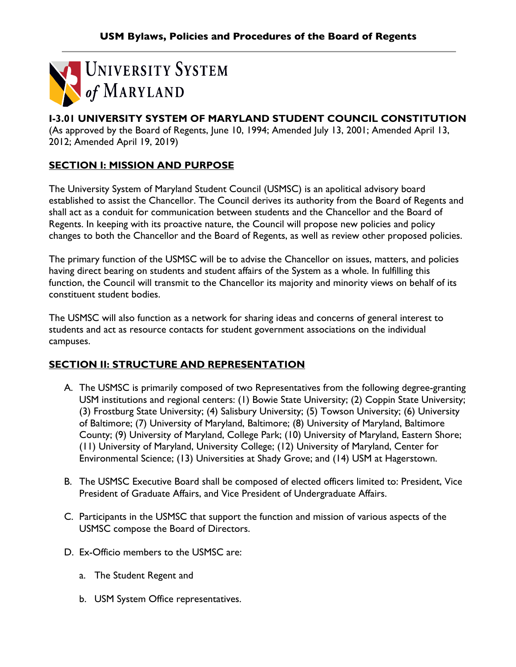

# **I-3.01 UNIVERSITY SYSTEM OF MARYLAND STUDENT COUNCIL CONSTITUTION**

(As approved by the Board of Regents, June 10, 1994; Amended July 13, 2001; Amended April 13, 2012; Amended April 19, 2019)

# **SECTION I: MISSION AND PURPOSE**

The University System of Maryland Student Council (USMSC) is an apolitical advisory board established to assist the Chancellor. The Council derives its authority from the Board of Regents and shall act as a conduit for communication between students and the Chancellor and the Board of Regents. In keeping with its proactive nature, the Council will propose new policies and policy changes to both the Chancellor and the Board of Regents, as well as review other proposed policies.

The primary function of the USMSC will be to advise the Chancellor on issues, matters, and policies having direct bearing on students and student affairs of the System as a whole. In fulfilling this function, the Council will transmit to the Chancellor its majority and minority views on behalf of its constituent student bodies.

The USMSC will also function as a network for sharing ideas and concerns of general interest to students and act as resource contacts for student government associations on the individual campuses.

# **SECTION II: STRUCTURE AND REPRESENTATION**

- A. The USMSC is primarily composed of two Representatives from the following degree-granting USM institutions and regional centers: (1) Bowie State University; (2) Coppin State University; (3) Frostburg State University; (4) Salisbury University; (5) Towson University; (6) University of Baltimore; (7) University of Maryland, Baltimore; (8) University of Maryland, Baltimore County; (9) University of Maryland, College Park; (10) University of Maryland, Eastern Shore; (11) University of Maryland, University College; (12) University of Maryland, Center for Environmental Science; (13) Universities at Shady Grove; and (14) USM at Hagerstown.
- B. The USMSC Executive Board shall be composed of elected officers limited to: President, Vice President of Graduate Affairs, and Vice President of Undergraduate Affairs.
- C. Participants in the USMSC that support the function and mission of various aspects of the USMSC compose the Board of Directors.
- D. Ex-Officio members to the USMSC are:
	- a. The Student Regent and
	- b. USM System Office representatives.